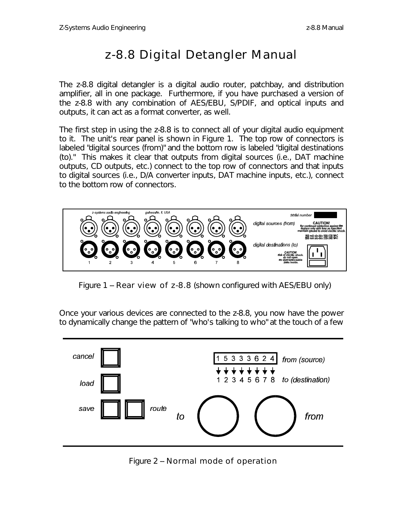## *z-8.8 Digital Detangler Manual*

The z-8.8 digital detangler is a digital audio router, patchbay, and distribution amplifier, all in one package. Furthermore, if you have purchased a version of the z-8.8 with any combination of AES/EBU, S/PDIF, and optical inputs and outputs, it can act as a format converter, as well.

The first step in using the z-8.8 is to connect all of your digital audio equipment to it. The unit's rear panel is shown in Figure 1. The top row of connectors is labeled "digital sources (from)" and the bottom row is labeled "digital destinations (to)." This makes it clear that outputs from digital sources (i.e., DAT machine outputs, CD outputs, etc.) connect to the top row of connectors and that inputs to digital sources (i.e., D/A converter inputs, DAT machine inputs, etc.), connect to the bottom row of connectors.



Figure 1 -- Rear view of z-8.8 (shown configured with AES/EBU only)

Once your various devices are connected to the z-8.8, you now have the power to dynamically change the pattern of "who's talking to who" at the touch of a few



Figure 2 -- Normal mode of operation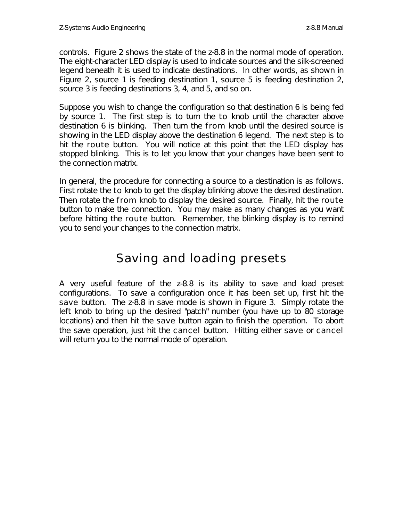controls. Figure 2 shows the state of the z-8.8 in the normal mode of operation. The eight-character LED display is used to indicate sources and the silk-screened legend beneath it is used to indicate destinations. In other words, as shown in Figure 2, source 1 is feeding destination 1, source 5 is feeding destination 2, source 3 is feeding destinations 3, 4, and 5, and so on.

Suppose you wish to change the configuration so that destination 6 is being fed by source 1. The first step is to turn the to knob until the character above destination 6 is blinking. Then turn the from knob until the desired source is showing in the LED display above the destination 6 legend. The next step is to hit the route button. You will notice at this point that the LED display has stopped blinking. This is to let you know that your changes have been sent to the connection matrix.

In general, the procedure for connecting a source to a destination is as follows. First rotate the to knob to get the display blinking above the desired destination. Then rotate the from knob to display the desired source. Finally, hit the route button to make the connection. You may make as many changes as you want before hitting the route button. Remember, the blinking display is to remind you to send your changes to the connection matrix.

## *Saving and loading presets*

A very useful feature of the z-8.8 is its ability to save and load preset configurations. To save a configuration once it has been set up, first hit the save button. The z-8.8 in save mode is shown in Figure 3. Simply rotate the left knob to bring up the desired "patch" number (you have up to 80 storage locations) and then hit the save button again to finish the operation. To abort the save operation, just hit the cancel button. Hitting either save or cancel will return you to the normal mode of operation.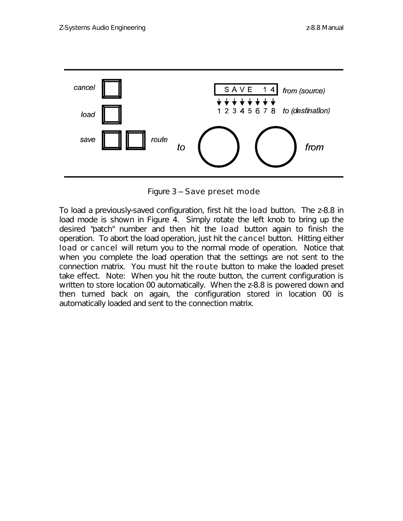

Figure 3 -- Save preset mode

To load a previously-saved configuration, first hit the load button. The z-8.8 in load mode is shown in Figure 4. Simply rotate the left knob to bring up the desired "patch" number and then hit the load button again to finish the operation. To abort the load operation, just hit the cancel button. Hitting either load or cancel will return you to the normal mode of operation. Notice that when you complete the load operation that the settings are not sent to the connection matrix. You must hit the route button to make the loaded preset take effect. Note: When you hit the route button, the current configuration is written to store location 00 automatically. When the z-8.8 is powered down and then turned back on again, the configuration stored in location 00 is automatically loaded and sent to the connection matrix.